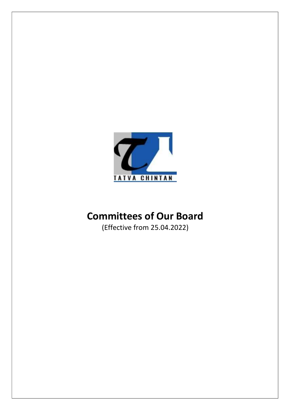

# Committees of Our Board

(Effective from 25.04.2022)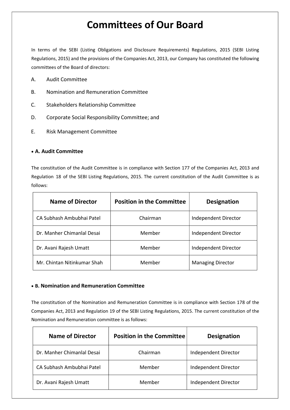# Committees of Our Board

In terms of the SEBI (Listing Obligations and Disclosure Requirements) Regulations, 2015 (SEBI Listing Regulations, 2015) and the provisions of the Companies Act, 2013, our Company has constituted the following committees of the Board of directors:

- A. Audit Committee
- B. Nomination and Remuneration Committee
- C. Stakeholders Relationship Committee
- D. Corporate Social Responsibility Committee; and
- E. Risk Management Committee

#### A. Audit Committee

The constitution of the Audit Committee is in compliance with Section 177 of the Companies Act, 2013 and Regulation 18 of the SEBI Listing Regulations, 2015. The current constitution of the Audit Committee is as follows:

| <b>Name of Director</b>     | <b>Position in the Committee</b> | <b>Designation</b>       |
|-----------------------------|----------------------------------|--------------------------|
| CA Subhash Ambubhai Patel   | Chairman                         | Independent Director     |
| Dr. Manher Chimanlal Desai  | Member                           | Independent Director     |
| Dr. Avani Rajesh Umatt      | Member                           | Independent Director     |
| Mr. Chintan Nitinkumar Shah | Member                           | <b>Managing Director</b> |

#### B. Nomination and Remuneration Committee

The constitution of the Nomination and Remuneration Committee is in compliance with Section 178 of the Companies Act, 2013 and Regulation 19 of the SEBI Listing Regulations, 2015. The current constitution of the Nomination and Remuneration committee is as follows:

| <b>Name of Director</b>    | <b>Position in the Committee</b> | <b>Designation</b>   |
|----------------------------|----------------------------------|----------------------|
| Dr. Manher Chimanlal Desai | Chairman                         | Independent Director |
| CA Subhash Ambubhai Patel  | Member                           | Independent Director |
| Dr. Avani Rajesh Umatt     | Member                           | Independent Director |